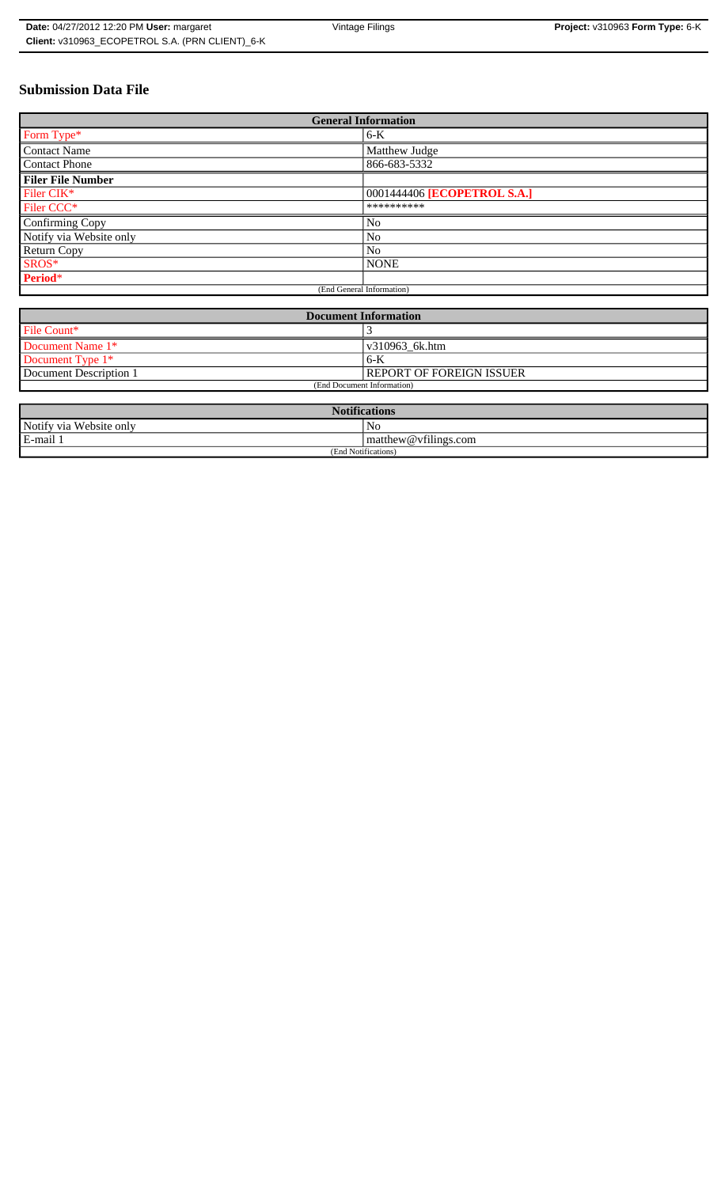# **Submission Data File**

| <b>General Information</b> |                             |
|----------------------------|-----------------------------|
| Form Type*                 | $6-K$                       |
| Contact Name               | Matthew Judge               |
| <b>Contact Phone</b>       | 866-683-5332                |
| <b>Filer File Number</b>   |                             |
| Filer CIK*                 | 0001444406 [ECOPETROL S.A.] |
| Filer CCC <sup>*</sup>     | **********                  |
| Confirming Copy            | No                          |
| Notify via Website only    | N <sub>0</sub>              |
| <b>Return Copy</b>         | N <sub>o</sub>              |
| SROS*                      | <b>NONE</b>                 |
| Period*                    |                             |
| (End General Information)  |                             |

| <b>Document Information</b> |                          |
|-----------------------------|--------------------------|
| File Count*                 |                          |
| Document Name 1*            | v310963 6k.htm           |
| Document Type 1*            | $6-K$                    |
| Document Description 1      | REPORT OF FOREIGN ISSUER |
| (End Document Information)  |                          |

| <b>Notifications</b>    |                                |  |
|-------------------------|--------------------------------|--|
| Notify via Website only | No                             |  |
| E-mail 1                | $\vert$ matthew @ vfilings.com |  |
| (End Notifications)     |                                |  |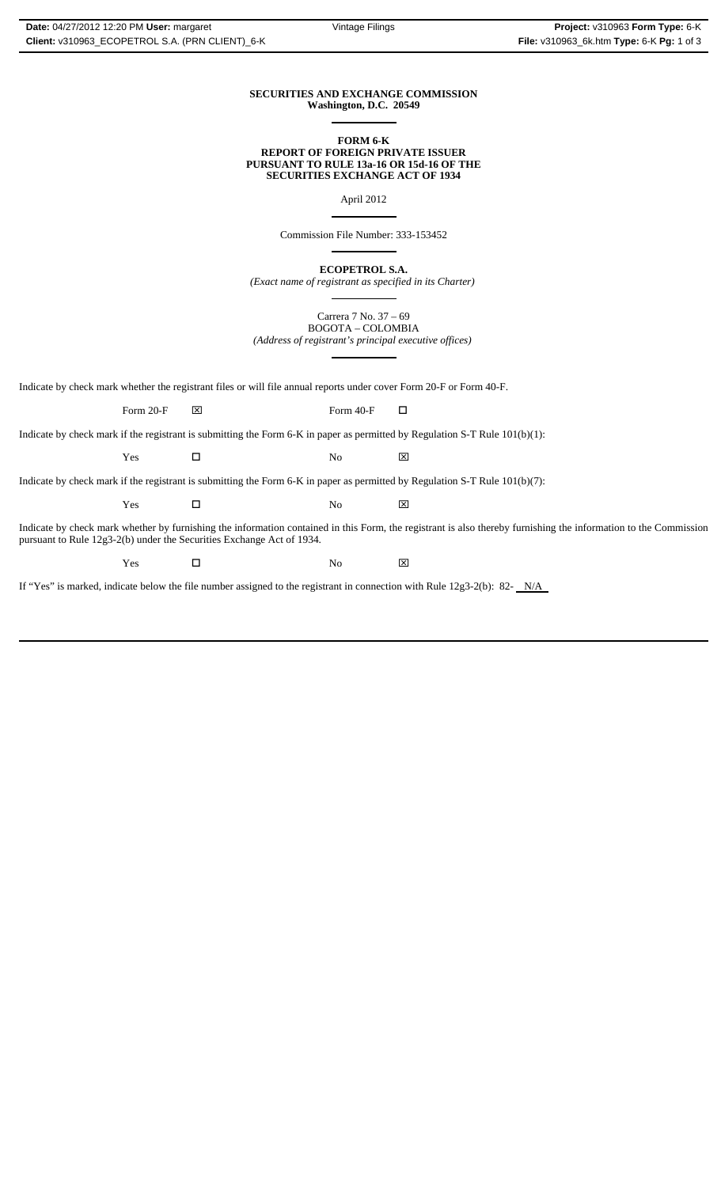#### **SECURITIES AND EXCHANGE COMMISSION Washington, D.C. 20549**  $\overline{a}$

#### **FORM 6-K REPORT OF FOREIGN PRIVATE ISSUER PURSUANT TO RULE 13a-16 OR 15d-16 OF THE SECURITIES EXCHANGE ACT OF 1934**

April 2012

 $\overline{\phantom{a}}$ 

 $\overline{a}$ 

 $\overline{a}$ 

Commission File Number: 333-153452

**ECOPETROL S.A.**

*(Exact name of registrant as specified in its Charter)*  $\overline{a}$ 

Carrera 7 No. 37 – 69 BOGOTA – COLOMBIA *(Address of registrant's principal executive offices)*

Indicate by check mark whether the registrant files or will file annual reports under cover Form 20-F or Form 40-F.

Form 20-F  $\boxtimes$  Form 40-F  $\Box$ 

Indicate by check mark if the registrant is submitting the Form 6-K in paper as permitted by Regulation S-T Rule 101(b)(1):

Yes □ No ⊠

Indicate by check mark if the registrant is submitting the Form 6-K in paper as permitted by Regulation S-T Rule 101(b)(7):

 $\Gamma$   $\blacksquare$   $\blacksquare$   $\blacksquare$   $\blacksquare$   $\blacksquare$   $\blacksquare$ 

Indicate by check mark whether by furnishing the information contained in this Form, the registrant is also thereby furnishing the information to the Commission pursuant to Rule 12g3-2(b) under the Securities Exchange Act of 1934.

 $\Gamma$   $\blacksquare$   $\blacksquare$   $\blacksquare$   $\blacksquare$   $\blacksquare$   $\blacksquare$ 

If "Yes" is marked, indicate below the file number assigned to the registrant in connection with Rule 12g3-2(b): 82-  $N/A$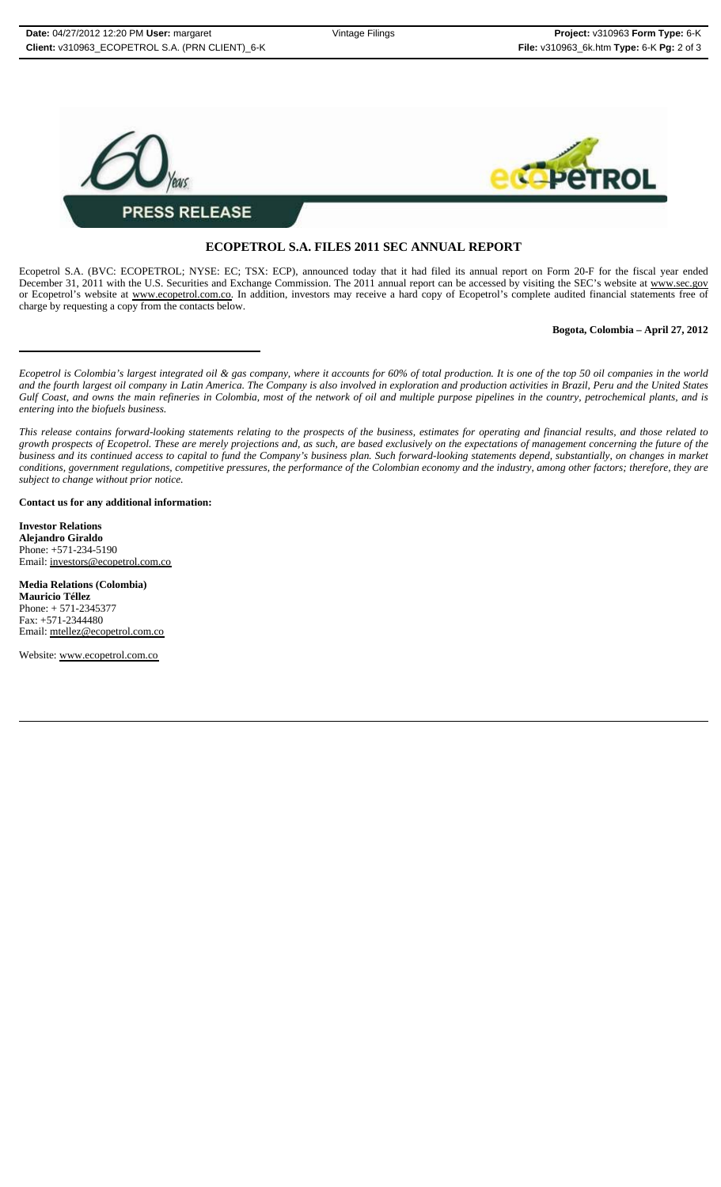

## **ECOPETROL S.A. FILES 2011 SEC ANNUAL REPORT**

Ecopetrol S.A. (BVC: ECOPETROL; NYSE: EC; TSX: ECP), announced today that it had filed its annual report on Form 20-F for the fiscal year ended December 31, 2011 with the U.S. Securities and Exchange Commission. The 2011 annual report can be accessed by visiting the SEC's website at www.sec.gov or Ecopetrol's website at www.ecopetrol.com.co. In addition, investors may receive a hard copy of Ecopetrol's complete audited financial statements free of charge by requesting a copy from the contacts below.

### **Bogota, Colombia – April 27, 2012**

*Ecopetrol is Colombia's largest integrated oil & gas company, where it accounts for 60% of total production. It is one of the top 50 oil companies in the world and the fourth largest oil company in Latin America. The Company is also involved in exploration and production activities in Brazil, Peru and the United States Gulf Coast, and owns the main refineries in Colombia, most of the network of oil and multiple purpose pipelines in the country, petrochemical plants, and is entering into the biofuels business.*

*This release contains forward-looking statements relating to the prospects of the business, estimates for operating and financial results, and those related to growth prospects of Ecopetrol. These are merely projections and, as such, are based exclusively on the expectations of management concerning the future of the business and its continued access to capital to fund the Company's business plan. Such forward-looking statements depend, substantially, on changes in market conditions, government regulations, competitive pressures, the performance of the Colombian economy and the industry, among other factors; therefore, they are subject to change without prior notice.*

**Contact us for any additional information:**

**Investor Relations Alejandro Giraldo** Phone: +571-234-5190 Email: investors@ecopetrol.com.co

**Media Relations (Colombia) Mauricio Téllez** Phone: + 571-2345377 Fax: +571-2344480 Email: mtellez@ecopetrol.com.co

Website: www.ecopetrol.com.co